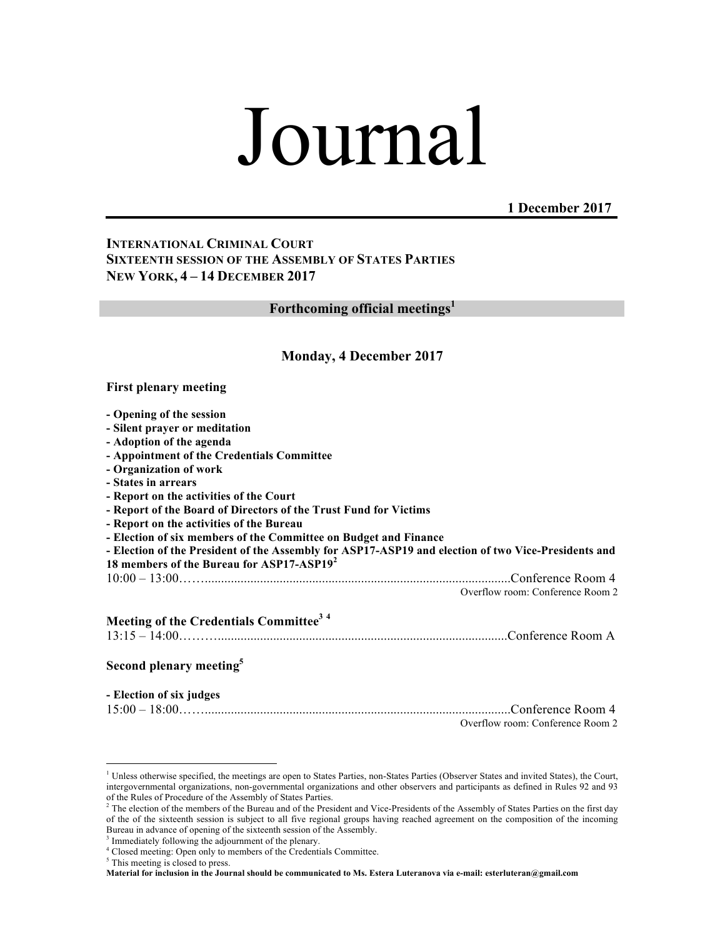# Journal

**1 December 2017**

## **INTERNATIONAL CRIMINAL COURT SIXTEENTH SESSION OF THE ASSEMBLY OF STATES PARTIES NEW YORK, 4 – 14 DECEMBER 2017**

**Forthcoming official meetings1**

#### **Monday, 4 December 2017**

#### **First plenary meeting**

| - Opening of the session                                                                            |                                  |
|-----------------------------------------------------------------------------------------------------|----------------------------------|
| - Silent prayer or meditation                                                                       |                                  |
| - Adoption of the agenda                                                                            |                                  |
| - Appointment of the Credentials Committee                                                          |                                  |
| - Organization of work                                                                              |                                  |
| - States in arrears                                                                                 |                                  |
| - Report on the activities of the Court                                                             |                                  |
| - Report of the Board of Directors of the Trust Fund for Victims                                    |                                  |
| - Report on the activities of the Bureau                                                            |                                  |
| - Election of six members of the Committee on Budget and Finance                                    |                                  |
| - Election of the President of the Assembly for ASP17-ASP19 and election of two Vice-Presidents and |                                  |
| 18 members of the Bureau for ASP17-ASP19 <sup>2</sup>                                               |                                  |
|                                                                                                     |                                  |
|                                                                                                     | Overflow room: Conference Room 2 |
| Meeting of the Credentials Committee <sup>34</sup>                                                  |                                  |
| Second plenary meeting <sup>5</sup>                                                                 |                                  |
| - Election of six judges                                                                            |                                  |

| Overflow room: Conference Room 2 |
|----------------------------------|

<sup>&</sup>lt;sup>1</sup> Unless otherwise specified, the meetings are open to States Parties, non-States Parties (Observer States and invited States), the Court, intergovernmental organizations, non-governmental organizations and other observers and participants as defined in Rules 92 and 93 of the Rules of Procedure of the Assembly of States Parties.

<sup>&</sup>lt;sup>2</sup> The election of the members of the Bureau and of the President and Vice-Presidents of the Assembly of States Parties on the first day of the of the sixteenth session is subject to all five regional groups having reached agreement on the composition of the incoming Bureau in advance of opening of the sixteenth session of the Assembly.

<sup>&</sup>lt;sup>3</sup> Immediately following the adjournment of the plenary.

<sup>4</sup> Closed meeting: Open only to members of the Credentials Committee.

<sup>&</sup>lt;sup>5</sup> This meeting is closed to press.

**Material for inclusion in the Journal should be communicated to Ms. Estera Luteranova via e-mail: esterluteran@gmail.com**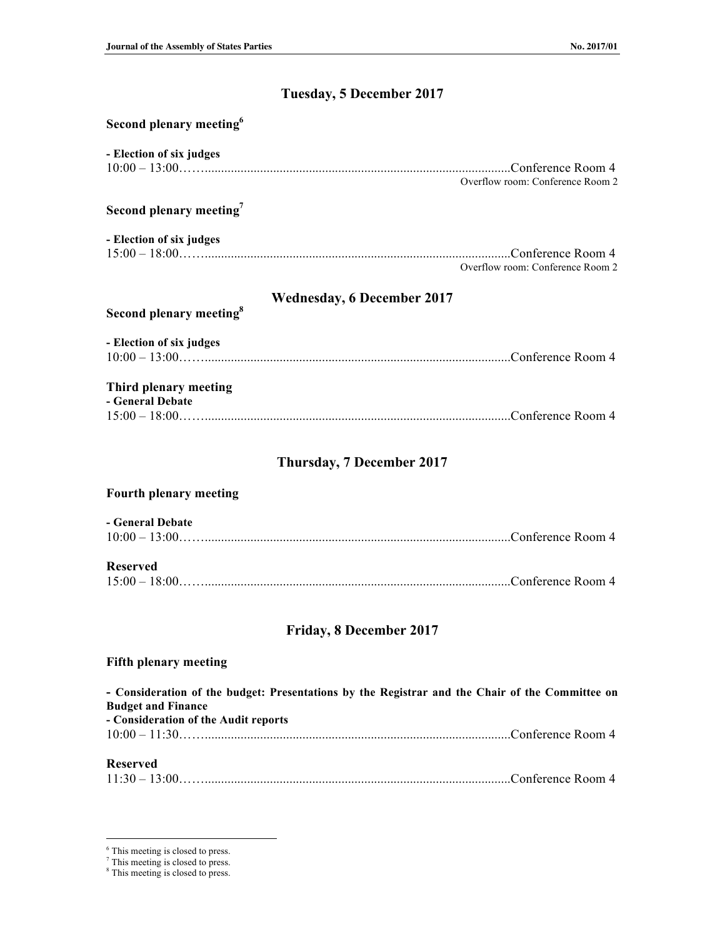# **Tuesday, 5 December 2017**

| Second plenary meeting <sup>6</sup>                                                                                          |                                  |  |
|------------------------------------------------------------------------------------------------------------------------------|----------------------------------|--|
| - Election of six judges                                                                                                     |                                  |  |
|                                                                                                                              | Overflow room: Conference Room 2 |  |
| Second plenary meeting <sup>7</sup>                                                                                          |                                  |  |
| - Election of six judges                                                                                                     |                                  |  |
|                                                                                                                              | Overflow room: Conference Room 2 |  |
| <b>Wednesday, 6 December 2017</b><br>Second plenary meeting <sup>8</sup>                                                     |                                  |  |
| - Election of six judges                                                                                                     |                                  |  |
| Third plenary meeting<br>- General Debate                                                                                    |                                  |  |
|                                                                                                                              |                                  |  |
| <b>Thursday, 7 December 2017</b>                                                                                             |                                  |  |
| <b>Fourth plenary meeting</b>                                                                                                |                                  |  |
| - General Debate                                                                                                             |                                  |  |
| <b>Reserved</b>                                                                                                              |                                  |  |
|                                                                                                                              |                                  |  |
| <b>Friday, 8 December 2017</b>                                                                                               |                                  |  |
| <b>Fifth plenary meeting</b>                                                                                                 |                                  |  |
| - Consideration of the budget: Presentations by the Registrar and the Chair of the Committee on<br><b>Budget and Finance</b> |                                  |  |
| - Consideration of the Audit reports<br>$10:00 - 11:30$ Conference Room 4                                                    |                                  |  |
| <b>Reserved</b>                                                                                                              |                                  |  |
|                                                                                                                              |                                  |  |

 $6$ <sup>6</sup> This meeting is closed to press.

<sup>7</sup> This meeting is closed to press.

<sup>&</sup>lt;sup>8</sup> This meeting is closed to press.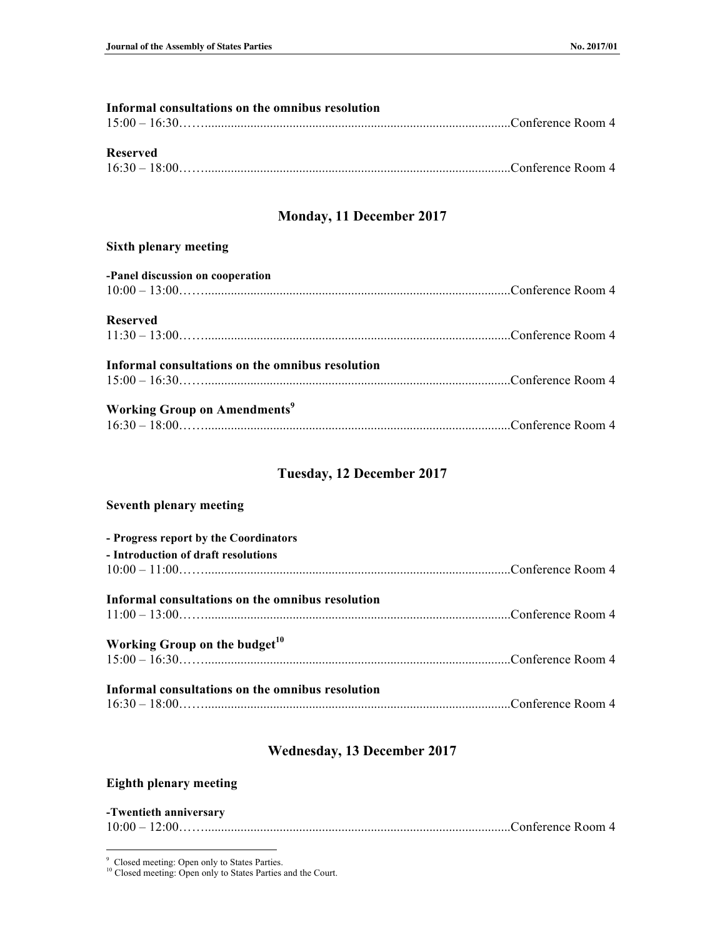| Informal consultations on the omnibus resolution |  |
|--------------------------------------------------|--|
|                                                  |  |
|                                                  |  |
| <b>Reserved</b>                                  |  |
|                                                  |  |
|                                                  |  |
| <b>Monday, 11 December 2017</b>                  |  |
| <b>Sixth plenary meeting</b>                     |  |
| -Panel discussion on cooperation                 |  |
|                                                  |  |
|                                                  |  |
| <b>Reserved</b>                                  |  |
|                                                  |  |
|                                                  |  |
| Informal consultations on the omnibus resolution |  |
|                                                  |  |
|                                                  |  |

| <b>Working Group on Amendments<sup>9</sup></b> |  |
|------------------------------------------------|--|
|                                                |  |

## **Tuesday, 12 December 2017**

| <b>Seventh plenary meeting</b>                   |  |
|--------------------------------------------------|--|
| - Progress report by the Coordinators            |  |
| - Introduction of draft resolutions              |  |
|                                                  |  |
| Informal consultations on the omnibus resolution |  |
|                                                  |  |
| Working Group on the budget <sup>10</sup>        |  |
|                                                  |  |
| Informal consultations on the omnibus resolution |  |
|                                                  |  |

# **Wednesday, 13 December 2017**

# **Eighth plenary meeting**

#### **-Twentieth anniversary**

 <sup>9</sup> Closed meeting: Open only to States Parties.

<sup>&</sup>lt;sup>10</sup> Closed meeting: Open only to States Parties and the Court.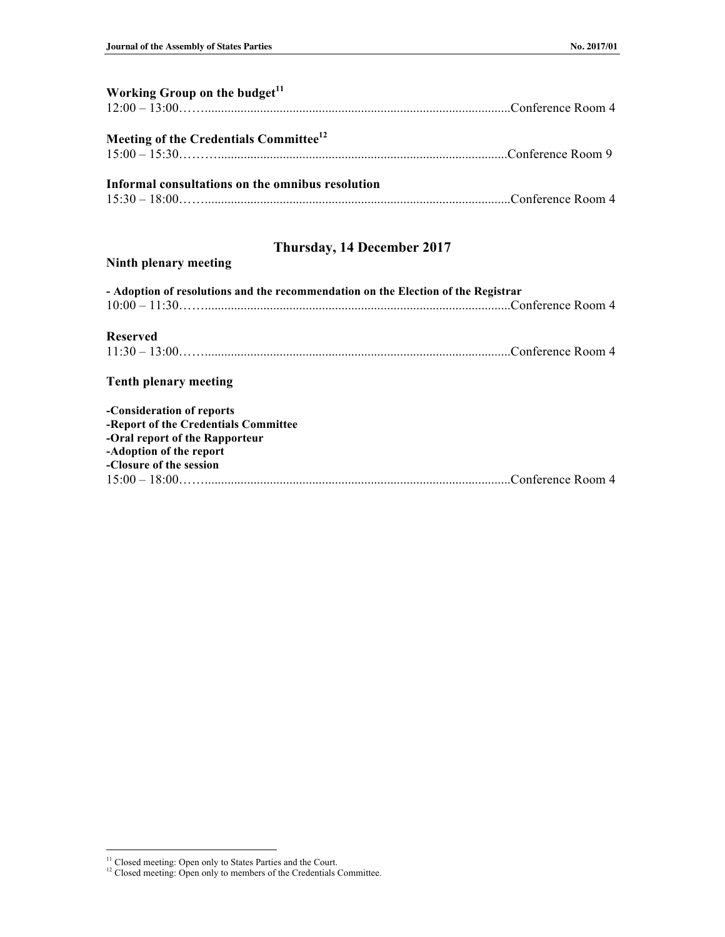| Working Group on the budget <sup>11</sup>          |  |
|----------------------------------------------------|--|
| Meeting of the Credentials Committee <sup>12</sup> |  |
| Informal consultations on the omnibus resolution   |  |
|                                                    |  |

# **Thursday, 14 December 2017**

## **Ninth plenary meeting**

| - Adoption of resolutions and the recommendation on the Election of the Registrar |  |
|-----------------------------------------------------------------------------------|--|
| $10:00 - 11:30$ Conference Room 4                                                 |  |
|                                                                                   |  |
| <b>Reserved</b>                                                                   |  |
|                                                                                   |  |
| <b>Tenth plenary meeting</b>                                                      |  |
| -Consideration of reports                                                         |  |
| -Report of the Credentials Committee                                              |  |
| -Oral report of the Rapporteur                                                    |  |
| -Adoption of the report                                                           |  |
| -Closure of the session                                                           |  |
|                                                                                   |  |

<sup>&</sup>lt;sup>11</sup> Closed meeting: Open only to States Parties and the Court.

 $12$  Closed meeting: Open only to members of the Credentials Committee.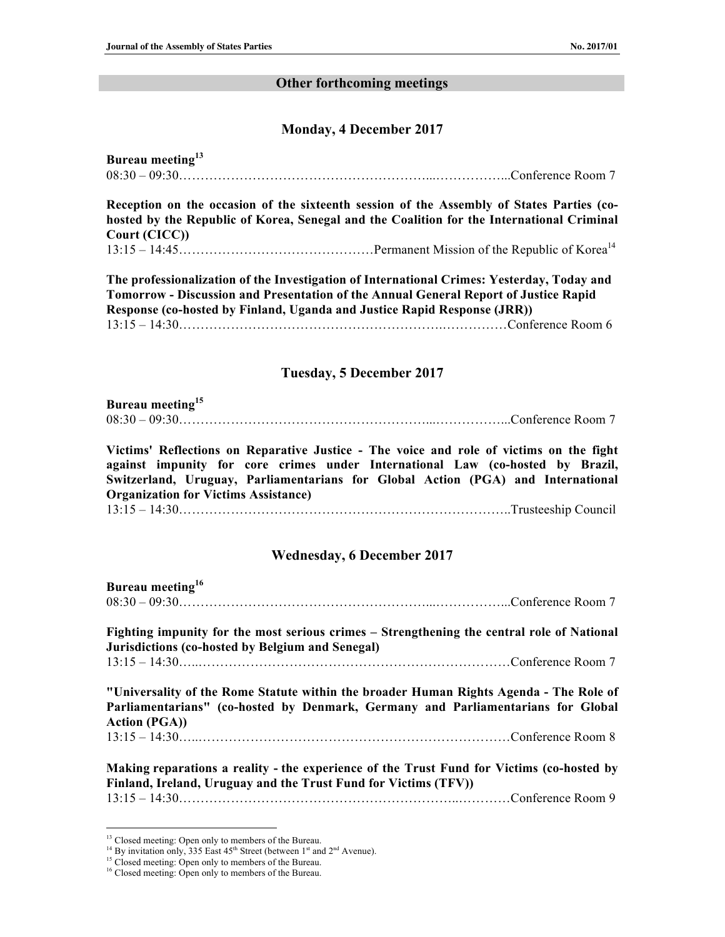#### **Other forthcoming meetings**

#### **Monday, 4 December 2017**

| Bureau meeting <sup>13</sup>    |  |
|---------------------------------|--|
| $08:30-09:30$ Conference Room 7 |  |

**Reception on the occasion of the sixteenth session of the Assembly of States Parties (cohosted by the Republic of Korea, Senegal and the Coalition for the International Criminal Court (CICC))** 13:15 – 14:45………………………………………Permanent Mission of the Republic of Korea14

**The professionalization of the Investigation of International Crimes: Yesterday, Today and Tomorrow - Discussion and Presentation of the Annual General Report of Justice Rapid Response (co-hosted by Finland, Uganda and Justice Rapid Response (JRR))**  13:15 – 14:30…………………………………………………….……………Conference Room 6

#### **Tuesday, 5 December 2017**

### **Bureau meeting<sup>15</sup>** 08:30 – 09:30…………………………………………………...……………...Conference Room 7

**Victims' Reflections on Reparative Justice - The voice and role of victims on the fight against impunity for core crimes under International Law (co-hosted by Brazil, Switzerland, Uruguay, Parliamentarians for Global Action (PGA) and International Organization for Victims Assistance)** 

13:15 – 14:30…………………………………………………………………..Trusteeship Council

#### **Wednesday, 6 December 2017**

| Bureau meeting <sup>16</sup> |  |
|------------------------------|--|
|                              |  |

**Fighting impunity for the most serious crimes – Strengthening the central role of National Jurisdictions (co-hosted by Belgium and Senegal)**

13:15 – 14:30…..………………………………………………………………Conference Room 7

**"Universality of the Rome Statute within the broader Human Rights Agenda - The Role of Parliamentarians" (co-hosted by Denmark, Germany and Parliamentarians for Global Action (PGA))** 

13:15 – 14:30…..………………………………………………………………Conference Room 8

**Making reparations a reality - the experience of the Trust Fund for Victims (co-hosted by Finland, Ireland, Uruguay and the Trust Fund for Victims (TFV))** 13:15 – 14:30………………………………………………………..…………Conference Room 9

<sup>&</sup>lt;sup>13</sup> Closed meeting: Open only to members of the Bureau.

<sup>&</sup>lt;sup>14</sup> By invitation only, 335 East  $45<sup>th</sup>$  Street (between 1<sup>st</sup> and  $2<sup>nd</sup>$  Avenue).

<sup>&</sup>lt;sup>15</sup> Closed meeting: Open only to members of the Bureau.

<sup>&</sup>lt;sup>16</sup> Closed meeting: Open only to members of the Bureau.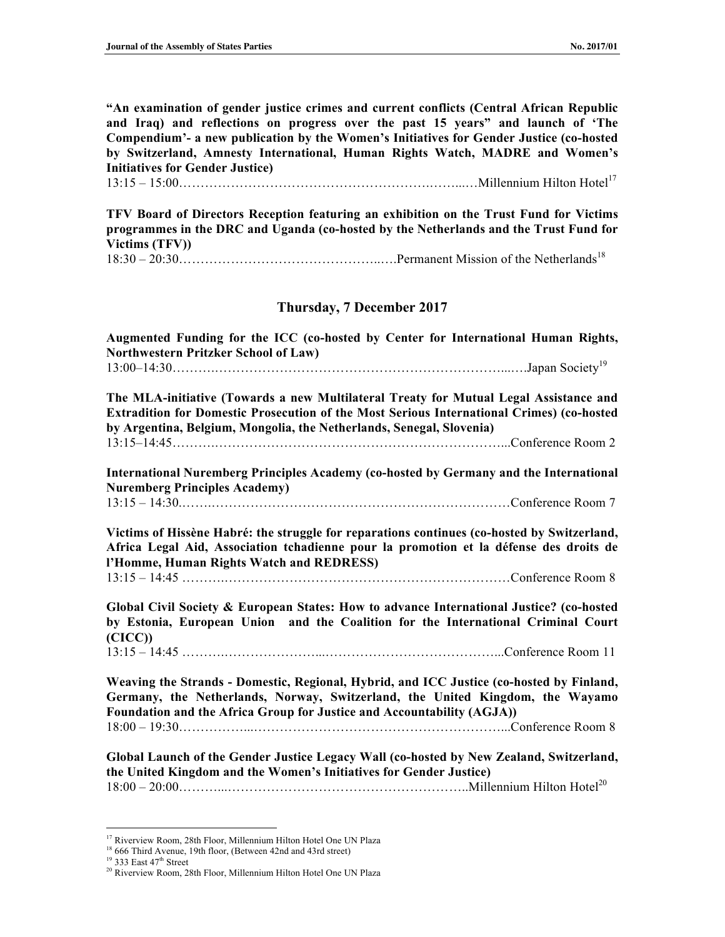**"An examination of gender justice crimes and current conflicts (Central African Republic and Iraq) and reflections on progress over the past 15 years" and launch of 'The Compendium'- a new publication by the Women's Initiatives for Gender Justice (co-hosted by Switzerland, Amnesty International, Human Rights Watch, MADRE and Women's Initiatives for Gender Justice)** 

13:15 – 15:00………………………………………………….……...…Millennium Hilton Hotel<sup>17</sup>

**TFV Board of Directors Reception featuring an exhibition on the Trust Fund for Victims programmes in the DRC and Uganda (co-hosted by the Netherlands and the Trust Fund for Victims (TFV))**

18:30 – 20:30………………………………………..….Permanent Mission of the Netherlands<sup>18</sup>

#### **Thursday, 7 December 2017**

**Augmented Funding for the ICC (co-hosted by Center for International Human Rights, Northwestern Pritzker School of Law)** 13:00–14:30……….…………………………………………………………...….Japan Society<sup>19</sup>

**The MLA-initiative (Towards a new Multilateral Treaty for Mutual Legal Assistance and Extradition for Domestic Prosecution of the Most Serious International Crimes) (co-hosted by Argentina, Belgium, Mongolia, the Netherlands, Senegal, Slovenia)** 13:15–14:45……….…………………………………………………………...Conference Room 2

**International Nuremberg Principles Academy (co-hosted by Germany and the International Nuremberg Principles Academy)** 

13:15 – 14:30.…….……………………………………………………………Conference Room 7

**Victims of Hissène Habré: the struggle for reparations continues (co-hosted by Switzerland, Africa Legal Aid, Association tchadienne pour la promotion et la défense des droits de l'Homme, Human Rights Watch and REDRESS)** 

13:15 – 14:45 ……….…………………………………………………………Conference Room 8

**Global Civil Society & European States: How to advance International Justice? (co-hosted by Estonia, European Union and the Coalition for the International Criminal Court (CICC))** 

13:15 – 14:45 ……….…………………...…………………………………...Conference Room 11

**Weaving the Strands - Domestic, Regional, Hybrid, and ICC Justice (co-hosted by Finland, Germany, the Netherlands, Norway, Switzerland, the United Kingdom, the Wayamo Foundation and the Africa Group for Justice and Accountability (AGJA))**  18:00 – 19:30……………...…………………………………………………...Conference Room 8

**Global Launch of the Gender Justice Legacy Wall (co-hosted by New Zealand, Switzerland, the United Kingdom and the Women's Initiatives for Gender Justice)** 18:00 – 20:00………...………………………………………………..Millennium Hilton Hotel<sup>20</sup>

<sup>&</sup>lt;sup>17</sup> Riverview Room, 28th Floor, Millennium Hilton Hotel One UN Plaza

<sup>&</sup>lt;sup>18</sup> 666 Third Avenue, 19th floor, (Between 42nd and 43rd street)

<sup>&</sup>lt;sup>19</sup> 333 East 47<sup>th</sup> Street

<sup>&</sup>lt;sup>20</sup> Riverview Room, 28th Floor, Millennium Hilton Hotel One UN Plaza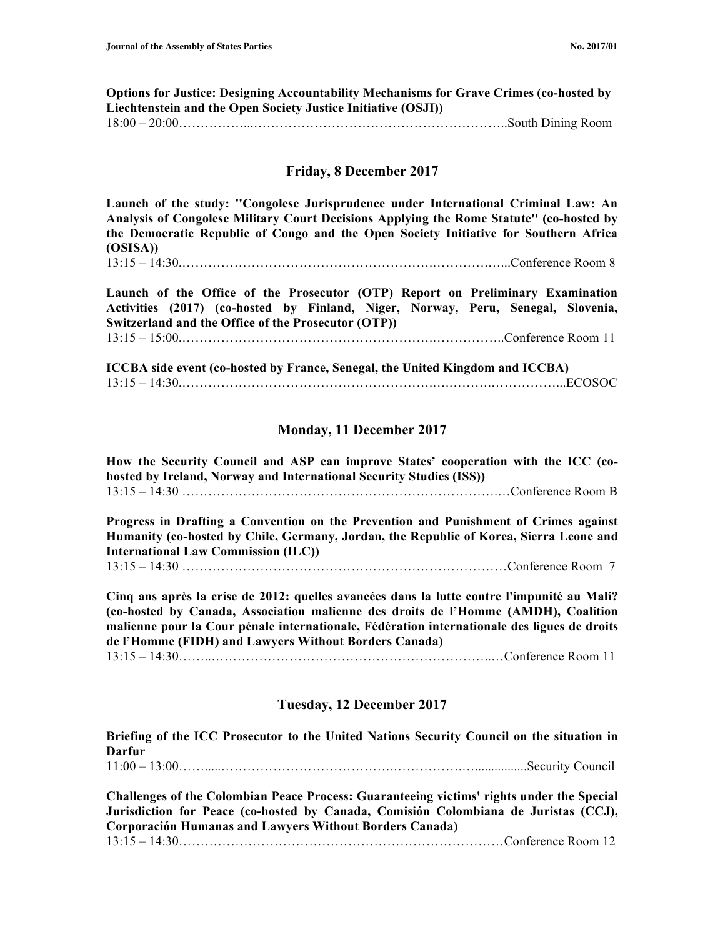**Options for Justice: Designing Accountability Mechanisms for Grave Crimes (co-hosted by Liechtenstein and the Open Society Justice Initiative (OSJI))** 18:00 – 20:00……………...…………………………………………………..South Dining Room

#### **Friday, 8 December 2017**

**Launch of the study: ''Congolese Jurisprudence under International Criminal Law: An Analysis of Congolese Military Court Decisions Applying the Rome Statute'' (co-hosted by the Democratic Republic of Congo and the Open Society Initiative for Southern Africa (OSISA))**

 $13:15 - 14:30$  Conference Room 8

**Launch of the Office of the Prosecutor (OTP) Report on Preliminary Examination Activities (2017) (co-hosted by Finland, Niger, Norway, Peru, Senegal, Slovenia, Switzerland and the Office of the Prosecutor (OTP))**  13:15 – 15:00.………………………………………………….……………..Conference Room 11

**ICCBA side event (co-hosted by France, Senegal, the United Kingdom and ICCBA)** 13:15 – 14:30.………………………………………………….….……….……………...ECOSOC

#### **Monday, 11 December 2017**

**How the Security Council and ASP can improve States' cooperation with the ICC (cohosted by Ireland, Norway and International Security Studies (ISS))** 13:15 – 14:30 ……………………………………………………………….…Conference Room B

**Progress in Drafting a Convention on the Prevention and Punishment of Crimes against Humanity (co-hosted by Chile, Germany, Jordan, the Republic of Korea, Sierra Leone and International Law Commission (ILC))**  13:15 – 14:30 …………………………………………………………………Conference Room 7

**Cinq ans après la crise de 2012: quelles avancées dans la lutte contre l'impunité au Mali? (co-hosted by Canada, Association malienne des droits de l'Homme (AMDH), Coalition malienne pour la Cour pénale internationale, Fédération internationale des ligues de droits de l'Homme (FIDH) and Lawyers Without Borders Canada)** 13:15 – 14:30……..………………………………………………………..…Conference Room 11

#### **Tuesday, 12 December 2017**

**Briefing of the ICC Prosecutor to the United Nations Security Council on the situation in Darfur**

11:00 – 13:00…….....………………………………….…………….…................Security Council

**Challenges of the Colombian Peace Process: Guaranteeing victims' rights under the Special Jurisdiction for Peace (co-hosted by Canada, Comisión Colombiana de Juristas (CCJ), Corporación Humanas and Lawyers Without Borders Canada)** 13:15 – 14:30…………………………………………………………………Conference Room 12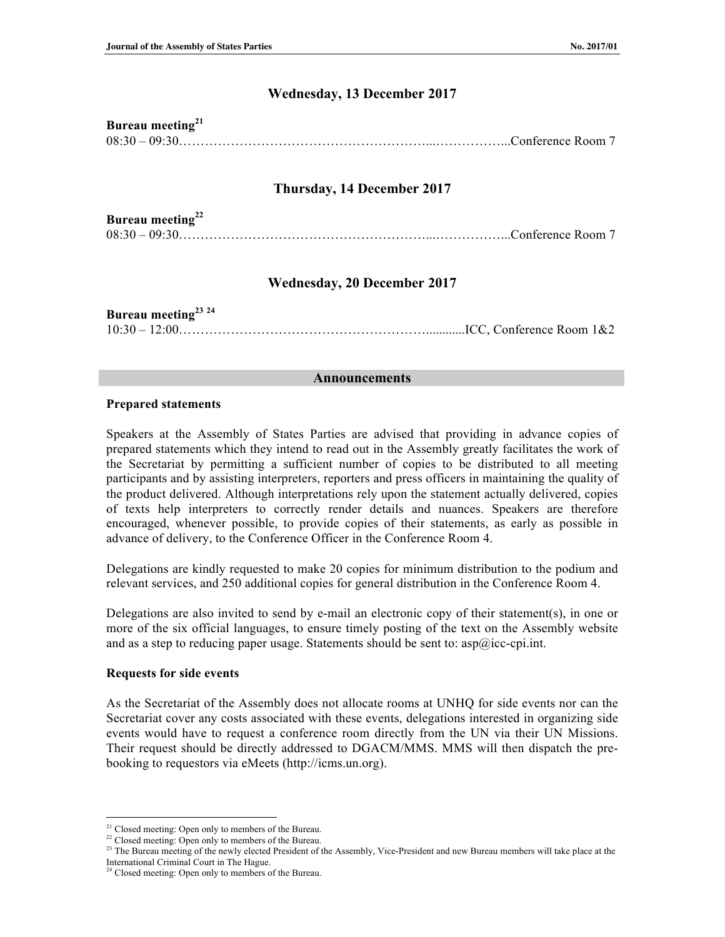## **Wednesday, 13 December 2017**

| Bureau meeting $21$             |  |
|---------------------------------|--|
| $08:30-09:30$ Conference Room 7 |  |

## **Thursday, 14 December 2017**

| Bureau meeting <sup>22</sup>    |  |
|---------------------------------|--|
| $08:30-09:30$ Conference Room 7 |  |

## **Wednesday, 20 December 2017**

| Bureau meeting <sup>23</sup> <sup>24</sup> |  |
|--------------------------------------------|--|
|                                            |  |

#### **Announcements**

#### **Prepared statements**

Speakers at the Assembly of States Parties are advised that providing in advance copies of prepared statements which they intend to read out in the Assembly greatly facilitates the work of the Secretariat by permitting a sufficient number of copies to be distributed to all meeting participants and by assisting interpreters, reporters and press officers in maintaining the quality of the product delivered. Although interpretations rely upon the statement actually delivered, copies of texts help interpreters to correctly render details and nuances. Speakers are therefore encouraged, whenever possible, to provide copies of their statements, as early as possible in advance of delivery, to the Conference Officer in the Conference Room 4.

Delegations are kindly requested to make 20 copies for minimum distribution to the podium and relevant services, and 250 additional copies for general distribution in the Conference Room 4.

Delegations are also invited to send by e-mail an electronic copy of their statement(s), in one or more of the six official languages, to ensure timely posting of the text on the Assembly website and as a step to reducing paper usage. Statements should be sent to:  $\text{asp@}$ icc-cpi.int.

#### **Requests for side events**

As the Secretariat of the Assembly does not allocate rooms at UNHQ for side events nor can the Secretariat cover any costs associated with these events, delegations interested in organizing side events would have to request a conference room directly from the UN via their UN Missions. Their request should be directly addressed to DGACM/MMS. MMS will then dispatch the prebooking to requestors via eMeets (http://icms.un.org).

<sup>&</sup>lt;sup>21</sup> Closed meeting: Open only to members of the Bureau.

<sup>&</sup>lt;sup>22</sup> Closed meeting: Open only to members of the Bureau.

<sup>&</sup>lt;sup>23</sup> The Bureau meeting of the newly elected President of the Assembly, Vice-President and new Bureau members will take place at the International Criminal Court in The Hague.

<sup>&</sup>lt;sup>24</sup> Closed meeting: Open only to members of the Bureau.